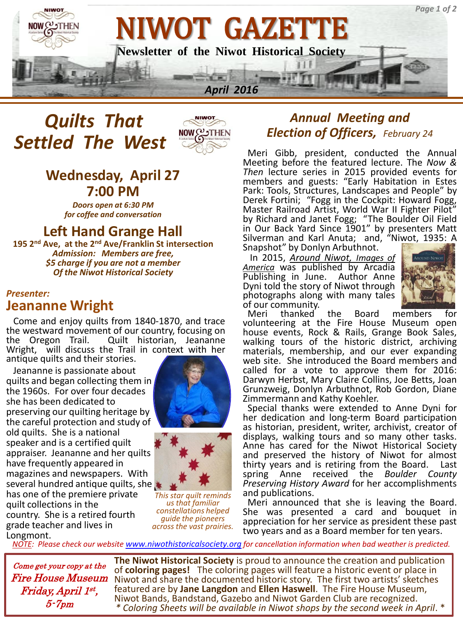

# *Quilts That Settled The West*



# **Wednesday, April 27 7:00 PM**

*Doors open at 6:30 PM for coffee and conversation*

# **Left Hand Grange Hall**

**195 2nd Ave, at the 2nd Ave/Franklin St intersection** *Admission: Members are free, \$5 charge if you are not a member Of the Niwot Historical Society*

#### *Presenter:*  **Jeananne Wright**

 Come and enjoy quilts from 1840-1870, and trace the westward movement of our country, focusing on the Oregon Trail. Quilt historian, Jeananne Wright, will discuss the Trail in context with her antique quilts and their stories.

 Jeananne is passionate about quilts and began collecting them in the 1960s. For over four decades she has been dedicated to preserving our quilting heritage by the careful protection and study of old quilts. She is a national speaker and is a certified quilt appraiser. Jeananne and her quilts have frequently appeared in magazines and newspapers. With several hundred antique quilts, she has one of the premiere private quilt collections in the country. She is a retired fourth grade teacher and lives in Longmont.





*This star quilt reminds us that familiar constellations helped guide the pioneers across the vast prairies.*

### Ann *Annual Meeting and Election of Officers, February 24*

 Meri Gibb, president, conducted the Annual Meeting before the featured lecture. The *Now & Then* lecture series in 2015 provided events for members and guests: "Early Habitation in Estes Park: Tools, Structures, Landscapes and People" by Derek Fortini; "Fogg in the Cockpit: Howard Fogg, Master Railroad Artist, World War II Fighter Pilot" by Richard and Janet Fogg; "The Boulder Oil Field in Our Back Yard Since 1901" by presenters Matt Silverman and Karl Anuta; and, "Niwot, 1935: A Snapshot" by Donlyn Arbuthnot.

 In 2015, *Around Niwot, Images of America* was published by Arcadia Publishing in June. Author Anne Dyni told the story of Niwot through photographs along with many tales of our community.



 Meri thanked the Board members for volunteering at the Fire House Museum open house events, Rock & Rails, Grange Book Sales, walking tours of the historic district, archiving materials, membership, and our ever expanding web site. She introduced the Board members and called for a vote to approve them for 2016: Darwyn Herbst, Mary Claire Collins, Joe Betts, Joan Grunzweig, Donlyn Arbuthnot, Rob Gordon, Diane Zimmermann and Kathy Koehler.

 Special thanks were extended to Anne Dyni for her dedication and long-term Board participation as historian, president, writer, archivist, creator of displays, walking tours and so many other tasks. Anne has cared for the Niwot Historical Society and preserved the history of Niwot for almost thirty years and is retiring from the Board. Last spring Anne received the *Boulder County Preserving History Award* for her accomplishments and publications.

 Meri announced that she is leaving the Board. She was presented a card and bouquet in appreciation for her service as president these past two years and as a Board member for ten years.

*NOTE: Please check our website [www.niwothistoricalsociety.org](http://www.niwothistoricalsociety.org/) for cancellation information when bad weather is predicted.*

Come get your copy at the Fire House Museum Friday, April 1 st , 5-7pm

**The Niwot Historical Society** is proud to announce the creation and publication of **coloring pages!** The coloring pages will feature a historic event or place in Niwot and share the documented historic story. The first two artists' sketches featured are by **Jane Langdon** and **Ellen Haswell**. The Fire House Museum, Niwot Bands, Bandstand, Gazebo and Niwot Garden Club are recognized. *\* Coloring Sheets will be available in Niwot shops by the second week in April*. \*